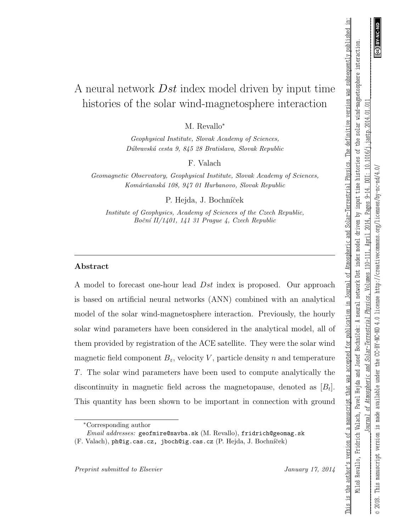$\widehat{\mathfrak{S}}$ 

This is the author's version of a manuscript that was accepted for publication in Journal of Atmospheric and Solar-Terrestrial Physics. The definitive version was subsequently published in:

# A neural network Dst index model driven by input time histories of the solar wind-magnetosphere interaction

M. Revallo<sup>∗</sup>

Geophysical Institute, Slovak Academy of Sciences, D´ubravsk´a cesta 9, 845 28 Bratislava, Slovak Republic

F. Valach

Geomagnetic Observatory, Geophysical Institute, Slovak Academy of Sciences, Komárňanská 108, 947 01 Hurbanovo, Slovak Republic

P. Hejda, J. Bochníček

Institute of Geophysics, Academy of Sciences of the Czech Republic, Boční II/1401, 141 $31$  Prague 4, Czech Republic

## Abstract

A model to forecast one-hour lead Dst index is proposed. Our approach is based on artificial neural networks (ANN) combined with an analytical model of the solar wind-magnetosphere interaction. Previously, the hourly solar wind parameters have been considered in the analytical model, all of them provided by registration of the ACE satellite. They were the solar wind magnetic field component  $B_z$ , velocity V, particle density n and temperature T. The solar wind parameters have been used to compute analytically the discontinuity in magnetic field across the magnetopause, denoted as  $[B_t]$ . This quantity has been shown to be important in connection with ground

Preprint submitted to Elsevier January 17, 2014

<sup>∗</sup>Corresponding author

Email addresses: geofmire@savba.sk (M. Revallo), fridrich@geomag.sk

 $(F. Valach)$ , ph@ig.cas.cz, jboch@ig.cas.cz  $(P. Hejda, J. Bochníček)$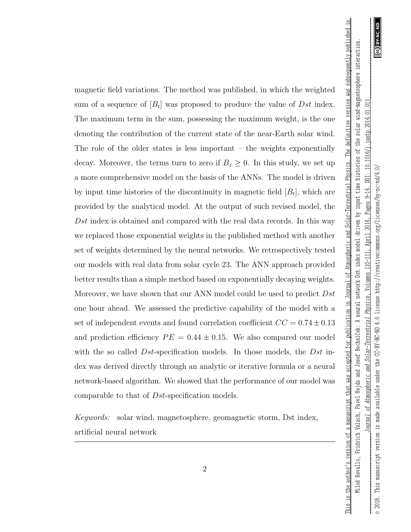This is the author's version of a manuscript that was accepted for publication in Journal of Atmospheric and Solar-Terrestrial Physics. The definitive version was subsequently published in:

magnetic field variations. The method was published, in which the weighted sum of a sequence of  $[B_t]$  was proposed to produce the value of Dst index. The maximum term in the sum, possessing the maximum weight, is the one denoting the contribution of the current state of the near-Earth solar wind. The role of the older states is less important – the weights exponentially decay. Moreover, the terms turn to zero if  $B_z \geq 0$ . In this study, we set up a more comprehensive model on the basis of the ANNs. The model is driven by input time histories of the discontinuity in magnetic field  $[B_t]$ , which are provided by the analytical model. At the output of such revised model, the Dst index is obtained and compared with the real data records. In this way we replaced those exponential weights in the published method with another set of weights determined by the neural networks. We retrospectively tested our models with real data from solar cycle 23. The ANN approach provided better results than a simple method based on exponentially decaying weights. Moreover, we have shown that our ANN model could be used to predict Dst one hour ahead. We assessed the predictive capability of the model with a set of independent events and found correlation coefficient  $CC = 0.74 \pm 0.13$ and prediction efficiency  $PE = 0.44 \pm 0.15$ . We also compared our model with the so called  $Dst$ -specification models. In those models, the  $Dst$  index was derived directly through an analytic or iterative formula or a neural network-based algorithm. We showed that the performance of our model was comparable to that of Dst-specification models.

Keywords: solar wind, magnetosphere, geomagnetic storm, Dst index, artificial neural network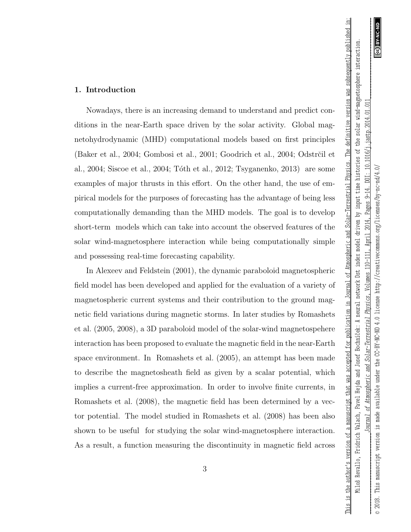This is the author's version of a manuscript that was accepted for publication in Journal of Atmospheric and Solar-Terrestrial Physics. The definitive version was subsequently published in:

### 1. Introduction

Nowadays, there is an increasing demand to understand and predict conditions in the near-Earth space driven by the solar activity. Global magnetohydrodynamic (MHD) computational models based on first principles (Baker et al., 2004; Gombosi et al., 2001; Goodrich et al., 2004; Odstrčil et al., 2004; Siscoe et al., 2004; Tóth et al., 2012; Tsyganenko, 2013) are some examples of major thrusts in this effort. On the other hand, the use of empirical models for the purposes of forecasting has the advantage of being less computationally demanding than the MHD models. The goal is to develop short-term models which can take into account the observed features of the solar wind-magnetosphere interaction while being computationally simple and possessing real-time forecasting capability.

In Alexeev and Feldstein (2001), the dynamic paraboloid magnetospheric field model has been developed and applied for the evaluation of a variety of magnetospheric current systems and their contribution to the ground magnetic field variations during magnetic storms. In later studies by Romashets et al. (2005, 2008), a 3D paraboloid model of the solar-wind magnetospehere interaction has been proposed to evaluate the magnetic field in the near-Earth space environment. In Romashets et al. (2005), an attempt has been made to describe the magnetosheath field as given by a scalar potential, which implies a current-free approximation. In order to involve finite currents, in Romashets et al. (2008), the magnetic field has been determined by a vector potential. The model studied in Romashets et al. (2008) has been also shown to be useful for studying the solar wind-magnetosphere interaction. As a result, a function measuring the discontinuity in magnetic field across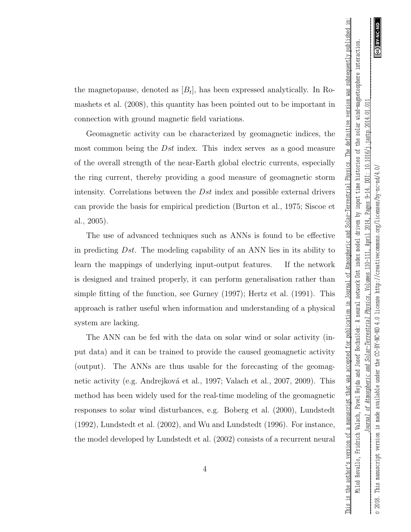This is the author's version of a manuscript that was accepted for publication in Journal of Atmospheric and Solar-Terrestrial Physics. The definitive version was subsequently published in:

the magnetopause, denoted as  $[B_t]$ , has been expressed analytically. In Romashets et al. (2008), this quantity has been pointed out to be important in connection with ground magnetic field variations.

Geomagnetic activity can be characterized by geomagnetic indices, the most common being the Dst index. This index serves as a good measure of the overall strength of the near-Earth global electric currents, especially the ring current, thereby providing a good measure of geomagnetic storm intensity. Correlations between the Dst index and possible external drivers can provide the basis for empirical prediction (Burton et al., 1975; Siscoe et al., 2005).

The use of advanced techniques such as ANNs is found to be effective in predicting  $Dst$ . The modeling capability of an ANN lies in its ability to learn the mappings of underlying input-output features. If the network is designed and trained properly, it can perform generalisation rather than simple fitting of the function, see Gurney (1997); Hertz et al. (1991). This approach is rather useful when information and understanding of a physical system are lacking.

The ANN can be fed with the data on solar wind or solar activity (input data) and it can be trained to provide the caused geomagnetic activity (output). The ANNs are thus usable for the forecasting of the geomagnetic activity (e.g. Andrejková et al., 1997; Valach et al., 2007, 2009). This method has been widely used for the real-time modeling of the geomagnetic responses to solar wind disturbances, e.g. Boberg et al. (2000), Lundstedt (1992), Lundstedt et al. (2002), and Wu and Lundstedt (1996). For instance, the model developed by Lundstedt et al. (2002) consists of a recurrent neural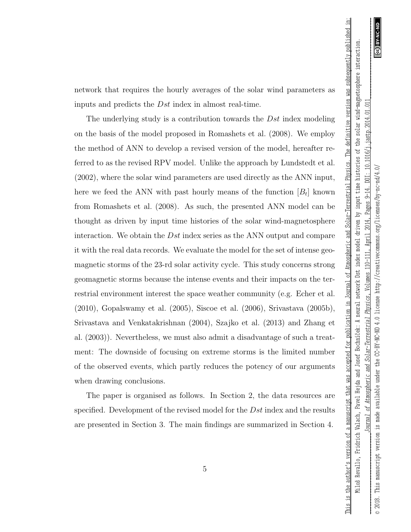This is the author's version of a manuscript that was accepted for publication in Journal of Atmospheric and Solar-Terrestrial Physics. The definitive version was subsequently published in:

network that requires the hourly averages of the solar wind parameters as inputs and predicts the Dst index in almost real-time.

The underlying study is a contribution towards the Dst index modeling on the basis of the model proposed in Romashets et al. (2008). We employ the method of ANN to develop a revised version of the model, hereafter referred to as the revised RPV model. Unlike the approach by Lundstedt et al. (2002), where the solar wind parameters are used directly as the ANN input, here we feed the ANN with past hourly means of the function  $[B_t]$  known from Romashets et al. (2008). As such, the presented ANN model can be thought as driven by input time histories of the solar wind-magnetosphere interaction. We obtain the Dst index series as the ANN output and compare it with the real data records. We evaluate the model for the set of intense geomagnetic storms of the 23-rd solar activity cycle. This study concerns strong geomagnetic storms because the intense events and their impacts on the terrestrial environment interest the space weather community (e.g. Echer et al. (2010), Gopalswamy et al. (2005), Siscoe et al. (2006), Srivastava (2005b), Srivastava and Venkatakrishnan (2004), Szajko et al. (2013) and Zhang et al. (2003)). Nevertheless, we must also admit a disadvantage of such a treatment: The downside of focusing on extreme storms is the limited number of the observed events, which partly reduces the potency of our arguments when drawing conclusions.

The paper is organised as follows. In Section 2, the data resources are specified. Development of the revised model for the Dst index and the results are presented in Section 3. The main findings are summarized in Section 4.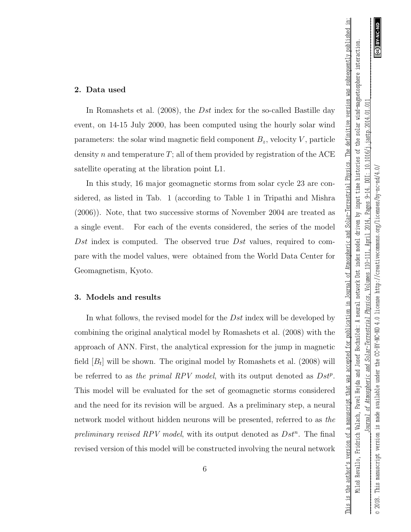ල

 $\geq$ 

This is the author's version of a manuscript that was accepted for publication in Journal of Atmospheric and Solar-Terrestrial Physics. The definitive version was subsequently published in:

© 2018. This manuscript version is made available under the CC-BY-NC-ND 4.0 license http://creativecommons.org/licenses/by-nc-nd/4.0/

made available under

 $\frac{3}{4}$ 

version

This manuscript

 $\scriptstyle\odot$  2018.

the CC-BY-NC-ND 4.0 license http://creativecommons.org/licenses/by-nc-nd/4.

### 2. Data used

In Romashets et al. (2008), the *Dst* index for the so-called Bastille day event, on 14-15 July 2000, has been computed using the hourly solar wind parameters: the solar wind magnetic field component  $B_z$ , velocity  $V$ , particle density n and temperature  $T$ ; all of them provided by registration of the ACE satellite operating at the libration point L1.

In this study, 16 major geomagnetic storms from solar cycle 23 are considered, as listed in Tab. 1 (according to Table 1 in Tripathi and Mishra (2006)). Note, that two successive storms of November 2004 are treated as a single event. For each of the events considered, the series of the model Dst index is computed. The observed true Dst values, required to compare with the model values, were obtained from the World Data Center for Geomagnetism, Kyoto.

## 3. Models and results

In what follows, the revised model for the Dst index will be developed by combining the original analytical model by Romashets et al. (2008) with the approach of ANN. First, the analytical expression for the jump in magnetic field  $[B_t]$  will be shown. The original model by Romashets et al. (2008) will be referred to as the primal RPV model, with its output denoted as  $Dst^p$ . This model will be evaluated for the set of geomagnetic storms considered and the need for its revision will be argued. As a preliminary step, a neural network model without hidden neurons will be presented, referred to as the preliminary revised RPV model, with its output denoted as  $Dst^n$ . The final revised version of this model will be constructed involving the neural network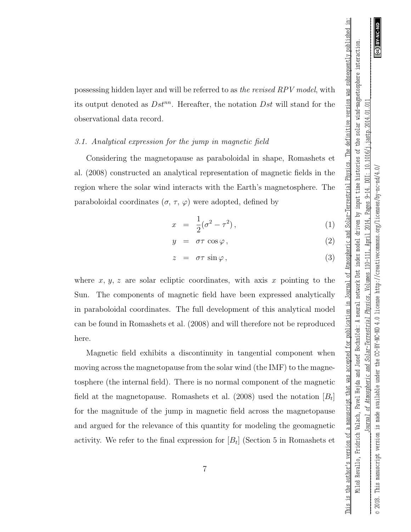This is the author's version of a manuscript that was accepted for publication in Journal of Atmospheric and Solar-Terrestrial Physics. The definitive version was subsequently published in: Miloš Revallo, Fridrich Valach, Pavel Hejda and Josef Bochníček: A neural network Dst index model driven by imput time histories of the solar wind-magnetosphere interaction

possessing hidden layer and will be referred to as the revised RPV model, with its output denoted as  $Dst^{nn}$ . Hereafter, the notation  $Dst$  will stand for the observational data record.

### 3.1. Analytical expression for the jump in magnetic field

Considering the magnetopause as paraboloidal in shape, Romashets et al. (2008) constructed an analytical representation of magnetic fields in the region where the solar wind interacts with the Earth's magnetosphere. The paraboloidal coordinates  $(\sigma, \tau, \varphi)$  were adopted, defined by

$$
x = \frac{1}{2}(\sigma^2 - \tau^2), \tag{1}
$$

$$
y = \sigma \tau \cos \varphi, \qquad (2)
$$

$$
z = \sigma \tau \sin \varphi, \qquad (3)
$$

where  $x, y, z$  are solar ecliptic coordinates, with axis x pointing to the Sun. The components of magnetic field have been expressed analytically in paraboloidal coordinates. The full development of this analytical model can be found in Romashets et al. (2008) and will therefore not be reproduced here.

Magnetic field exhibits a discontinuity in tangential component when moving across the magnetopause from the solar wind (the IMF) to the magnetosphere (the internal field). There is no normal component of the magnetic field at the magnetopause. Romashets et al. (2008) used the notation  $[B_t]$ for the magnitude of the jump in magnetic field across the magnetopause and argued for the relevance of this quantity for modeling the geomagnetic activity. We refer to the final expression for  $[B_t]$  (Section 5 in Romashets et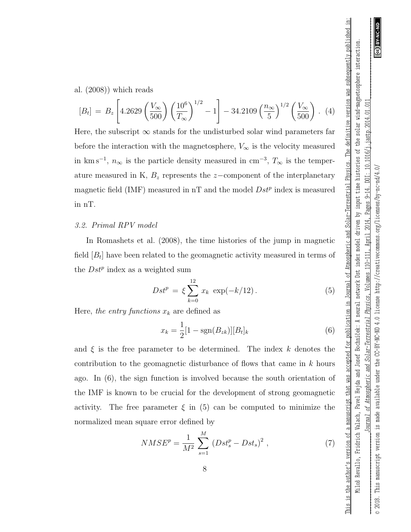al. (2008)) which reads

$$
[B_t] = B_z \left[ 4.2629 \left( \frac{V_{\infty}}{500} \right) \left( \frac{10^6}{T_{\infty}} \right)^{1/2} - 1 \right] - 34.2109 \left( \frac{n_{\infty}}{5} \right)^{1/2} \left( \frac{V_{\infty}}{500} \right) . (4)
$$

Here, the subscript  $\infty$  stands for the undisturbed solar wind parameters far before the interaction with the magnetosphere,  $V_{\infty}$  is the velocity measured in km s<sup>-1</sup>,  $n_{\infty}$  is the particle density measured in cm<sup>-3</sup>,  $T_{\infty}$  is the temperature measured in K,  $B_z$  represents the z-component of the interplanetary magnetic field (IMF) measured in  $nT$  and the model  $Dst^p$  index is measured in nT.

# 3.2. Primal RPV model

In Romashets et al. (2008), the time histories of the jump in magnetic field  $[B_t]$  have been related to the geomagnetic activity measured in terms of the  $Dst^p$  index as a weighted sum

$$
Dst^{p} = \xi \sum_{k=0}^{12} x_{k} \exp(-k/12).
$$
 (5)

Here, the entry functions  $x_k$  are defined as

$$
x_k = \frac{1}{2} [1 - \text{sgn}(B_{zk})] [B_t]_k
$$
 (6)

and  $\xi$  is the free parameter to be determined. The index k denotes the contribution to the geomagnetic disturbance of flows that came in k hours ago. In (6), the sign function is involved because the south orientation of the IMF is known to be crucial for the development of strong geomagnetic activity. The free parameter  $\xi$  in (5) can be computed to minimize the normalized mean square error defined by

$$
NMSE^{p} = \frac{1}{M^{2}} \sum_{s=1}^{M} (Dst_{s}^{p} - Dst_{s})^{2} , \qquad (7)
$$

This is the author's version of a manuscript that was accepted for publication in Journal of Atmospheric and Solar-Terrestrial Physics. The definitive version was subsequently published in: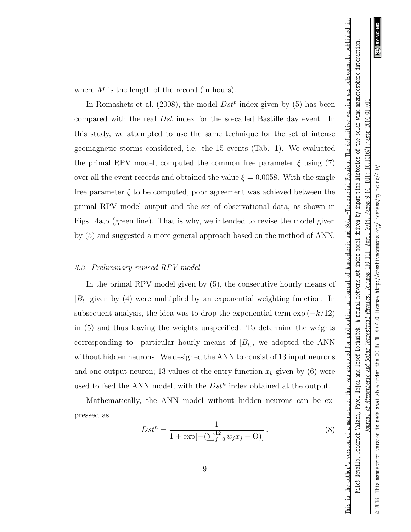Miloš Revallo, Fridrich Valach,

This is the author's version of a manuscript that was accepted for publication in Journal of Atmospheric and Solar-Terrestrial Physics. The definitive version was subsequently published in:

where M is the length of the record (in hours).

In Romashets et al. (2008), the model  $Dst^p$  index given by (5) has been compared with the real Dst index for the so-called Bastille day event. In this study, we attempted to use the same technique for the set of intense geomagnetic storms considered, i.e. the 15 events (Tab. 1). We evaluated the primal RPV model, computed the common free parameter  $\xi$  using (7) over all the event records and obtained the value  $\xi = 0.0058$ . With the single free parameter  $\xi$  to be computed, poor agreement was achieved between the primal RPV model output and the set of observational data, as shown in Figs. 4a,b (green line). That is why, we intended to revise the model given by (5) and suggested a more general approach based on the method of ANN.

### 3.3. Preliminary revised RPV model

In the primal RPV model given by (5), the consecutive hourly means of  $[B_t]$  given by (4) were multiplied by an exponential weighting function. In subsequent analysis, the idea was to drop the exponential term  $\exp(-k/12)$ in (5) and thus leaving the weights unspecified. To determine the weights corresponding to particular hourly means of  $[B_t]$ , we adopted the ANN without hidden neurons. We designed the ANN to consist of 13 input neurons and one output neuron; 13 values of the entry function  $x_k$  given by (6) were used to feed the ANN model, with the  $Dst^n$  index obtained at the output.

Mathematically, the ANN model without hidden neurons can be expressed as

$$
Dst^{n} = \frac{1}{1 + \exp[-(\sum_{j=0}^{12} w_{j}x_{j} - \Theta)]}.
$$
 (8)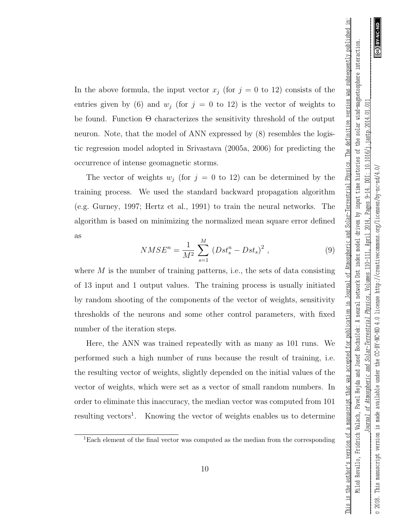This is the author's version of a manuscript that was accepted for publication in Journal of Atmospheric and Solar-Terrestrial Physics. The definitive version was subsequently published in:

In the above formula, the input vector  $x_j$  (for  $j = 0$  to 12) consists of the entries given by (6) and  $w_j$  (for  $j = 0$  to 12) is the vector of weights to be found. Function Θ characterizes the sensitivity threshold of the output neuron. Note, that the model of ANN expressed by (8) resembles the logistic regression model adopted in Srivastava (2005a, 2006) for predicting the occurrence of intense geomagnetic storms.

The vector of weights  $w_j$  (for  $j = 0$  to 12) can be determined by the training process. We used the standard backward propagation algorithm (e.g. Gurney, 1997; Hertz et al., 1991) to train the neural networks. The algorithm is based on minimizing the normalized mean square error defined as

$$
NMSE^{n} = \frac{1}{M^{2}} \sum_{s=1}^{M} (Dst_{s}^{n} - Dst_{s})^{2} , \qquad (9)
$$

where  $M$  is the number of training patterns, i.e., the sets of data consisting of 13 input and 1 output values. The training process is usually initiated by random shooting of the components of the vector of weights, sensitivity thresholds of the neurons and some other control parameters, with fixed number of the iteration steps.

Here, the ANN was trained repeatedly with as many as 101 runs. We performed such a high number of runs because the result of training, i.e. the resulting vector of weights, slightly depended on the initial values of the vector of weights, which were set as a vector of small random numbers. In order to eliminate this inaccuracy, the median vector was computed from 101 resulting vectors<sup>1</sup>. Knowing the vector of weights enables us to determine

<sup>&</sup>lt;sup>1</sup>Each element of the final vector was computed as the median from the corresponding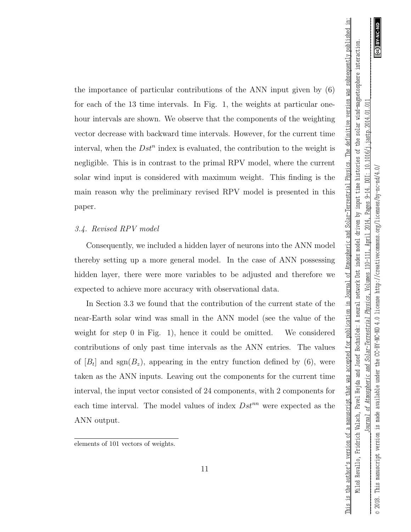© 2018. This manuscript version is made available under the CC-BY-NC-ND 4.0 license http://creativecommons.org/licenses/by-nc-nd/4.0/

under

available

made

 $\frac{3}{4}$ 

version

This manuscript

 $\circ$  2018.

the CC-BY-NC-ND 4.0 license http://creativecommons.org/licenses/by-nc-nd/4.

ම

 $\geq$ 

the importance of particular contributions of the ANN input given by (6) for each of the 13 time intervals. In Fig. 1, the weights at particular onehour intervals are shown. We observe that the components of the weighting vector decrease with backward time intervals. However, for the current time interval, when the  $Dst^n$  index is evaluated, the contribution to the weight is negligible. This is in contrast to the primal RPV model, where the current solar wind input is considered with maximum weight. This finding is the main reason why the preliminary revised RPV model is presented in this paper.

# 3.4. Revised RPV model

Consequently, we included a hidden layer of neurons into the ANN model thereby setting up a more general model. In the case of ANN possessing hidden layer, there were more variables to be adjusted and therefore we expected to achieve more accuracy with observational data.

In Section 3.3 we found that the contribution of the current state of the near-Earth solar wind was small in the ANN model (see the value of the weight for step 0 in Fig. 1), hence it could be omitted. We considered contributions of only past time intervals as the ANN entries. The values of  $[B_t]$  and sgn $(B_z)$ , appearing in the entry function defined by  $(6)$ , were taken as the ANN inputs. Leaving out the components for the current time interval, the input vector consisted of 24 components, with 2 components for each time interval. The model values of index  $Dst^{nn}$  were expected as the ANN output.

elements of 101 vectors of weights.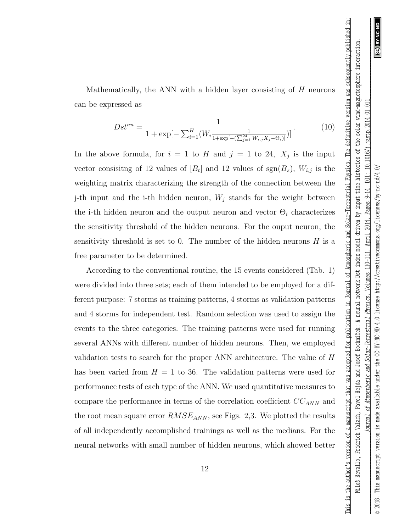$10.1016/$ j.jastp. $2014.01.01$ 

 $D\Box$ 

Pages 9-14.

2014

April

 $10 - 111$ ,

Volumes

Physics,

Solar-Terrestrial

of Atmospheric and

Jearnal

This manuscript

 $\circ$  2018.

This is the author's version of a manuscript that was accepted for publication in Journal of Atmospheric and Solar-Terrestrial Physics. The definitive version was subsequently published in: Miloš Revallo, Fridrich Valach, Pavel Hejda and Josef Bochníček: A neural network Dst index model driven by input time histories of the solar wind-magnetosphere interaction.

This is the author's version of a manuscript that was accepted for publication in Journal of Atmospheric and Solar-Terrestrial Physics. The definitive version was subsequently published in: Miloš Revallo, Fridrich Valach, Pavel Hejda and Josef Bochníček: A neural network Dst index model driven by imput time histories of the solar wind-magnetosphere interaction

Mathematically, the ANN with a hidden layer consisting of H neurons can be expressed as

$$
Dst^{nn} = \frac{1}{1 + \exp[-\sum_{i=1}^{H} (W_i \frac{1}{1 + \exp[-(\sum_{j=1}^{24} W_{i,j} X_j - \Theta_i)]})]}.
$$
(10)

In the above formula, for  $i = 1$  to H and  $j = 1$  to 24,  $X_j$  is the input vector consisitng of 12 values of  $[B_t]$  and 12 values of  $sgn(B_z)$ ,  $W_{i,j}$  is the weighting matrix characterizing the strength of the connection between the j-th input and the i-th hidden neuron,  $W_j$  stands for the weight between the i-th hidden neuron and the output neuron and vector  $\Theta_i$  characterizes the sensitivity threshold of the hidden neurons. For the ouput neuron, the sensitivity threshold is set to 0. The number of the hidden neurons  $H$  is a free parameter to be determined.

According to the conventional routine, the 15 events considered (Tab. 1) were divided into three sets; each of them intended to be employed for a different purpose: 7 storms as training patterns, 4 storms as validation patterns and 4 storms for independent test. Random selection was used to assign the events to the three categories. The training patterns were used for running several ANNs with different number of hidden neurons. Then, we employed validation tests to search for the proper ANN architecture. The value of H has been varied from  $H = 1$  to 36. The validation patterns were used for performance tests of each type of the ANN. We used quantitative measures to compare the performance in terms of the correlation coefficient  $CC_{ANN}$  and the root mean square error  $RMSE_{ANN}$ , see Figs. 2,3. We plotted the results of all independently accomplished trainings as well as the medians. For the neural networks with small number of hidden neurons, which showed better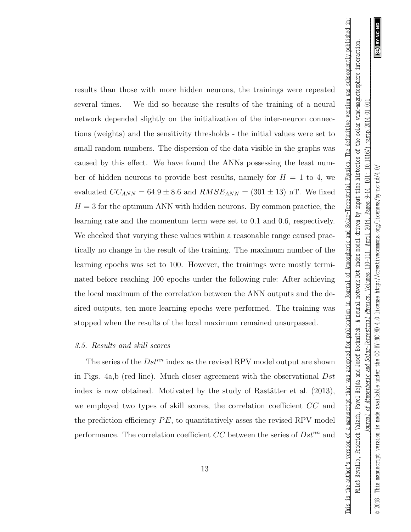ල

 $\geq$ 

This is the author's version of a manuscript that was accepted for publication in Journal of Atmospheric and Solar-Terrestrial Physics. The definitive version was subsequently published in:

© 2018. This manuscript version is made available under the CC-BY-NC-ND 4.0 license http://creativecommons.org/licenses/by-nc-nd/4.0/

made available under

 $\frac{3}{4}$ 

version

This manuscript

results than those with more hidden neurons, the trainings were repeated several times. We did so because the results of the training of a neural network depended slightly on the initialization of the inter-neuron connections (weights) and the sensitivity thresholds - the initial values were set to small random numbers. The dispersion of the data visible in the graphs was caused by this effect. We have found the ANNs possessing the least number of hidden neurons to provide best results, namely for  $H = 1$  to 4, we evaluated  $CC_{ANN} = 64.9 \pm 8.6$  and  $RMSE_{ANN} = (301 \pm 13)$  nT. We fixed  $H = 3$  for the optimum ANN with hidden neurons. By common practice, the learning rate and the momentum term were set to 0.1 and 0.6, respectively. We checked that varying these values within a reasonable range caused practically no change in the result of the training. The maximum number of the learning epochs was set to 100. However, the trainings were mostly terminated before reaching 100 epochs under the following rule: After achieving the local maximum of the correlation between the ANN outputs and the desired outputs, ten more learning epochs were performed. The training was stopped when the results of the local maximum remained unsurpassed.

### 3.5. Results and skill scores

The series of the  $Dst^{nn}$  index as the revised RPV model output are shown in Figs. 4a,b (red line). Much closer agreement with the observational Dst index is now obtained. Motivated by the study of Rastätter et al.  $(2013)$ , we employed two types of skill scores, the correlation coefficient CC and the prediction efficiency  $PE$ , to quantitatively asses the revised RPV model performance. The correlation coefficient  $CC$  between the series of  $Dst^{nn}$  and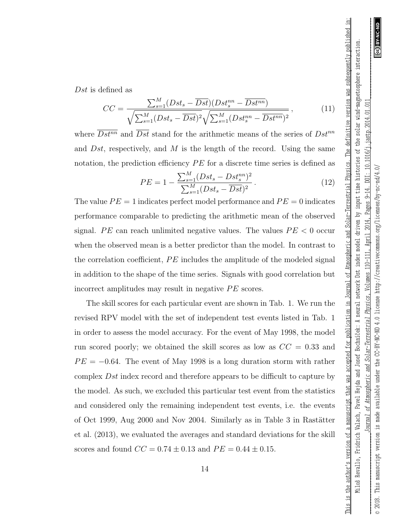ම

*\_\_\_\_\_\_\_\_\_\_\_\_\_\_\_\_\_\_\_\_\_\_\_\_\_\_\_\_\_\_\_Journal of Atmospheric and Solar-Terrestrial Physics* , Volumes 110-111, April 2014, Pages 9-14. DOI: 10.1016/j.jastp.2014.01.011\_\_\_\_\_\_\_\_\_\_\_\_\_\_\_\_\_\_\_\_\_\_\_\_\_\_\_\_\_\_\_  $10.1016/$ j.jastp. $2014.01.01$ © 2018. This manuscript version is made available under the CC-BY-NC-ND 4.0 license http://creativecommons.org/licenses/by-nc-nd/4.0/  $\sum_{i=1}^{n}$  $DOL:$ the CC-BY-NC-ND 4.0 license http://creativecommons.org/licenses/by-nc-nd/4. Pages 9-14 2014 April  $10 - 111$ Volumes Physics, Solar-Terrestrial of Atmospheric and made available under Jearnal  $\tilde{\Xi}$ version This manuscript  $\circ$  2018.

This is the author's version of a manuscript that was accepted for publication in Journal of Atmospheric and Solar-Terrestrial Physics. The definitive version was subsequently published in: Miloš Revallo, Fridrich Valach, Pavel Hejda and Josef Bochníček: A neural network Dst index model driven by input time histories of the solar wind-magnetosphere interaction.

This is the author's version of a manuscript that was accepted for publication in Journal of Atmospheric and Solar-Terrestrial Physics. The definitive version was subsequently published in: Miloš Revallo, Fridrich Valach, Pavel Hejda and Josef Bochníček: A neural network Dst index model driven by input time histories of the solar wind-magnetosphere interaction

Dst is defined as

$$
CC = \frac{\sum_{s=1}^{M} (Dst_s - \overline{Dst})(Dst_s^{nn} - \overline{Dst^{nn}})}{\sqrt{\sum_{s=1}^{M} (Dst_s - \overline{Dst})^2} \sqrt{\sum_{s=1}^{M} (Dst_s^{nn} - \overline{Dst^{nn}})^2}},
$$
(11)

where  $\overline{Dst^{nn}}$  and  $\overline{Dst}$  stand for the arithmetic means of the series of  $Dst^{nn}$ and  $Dst$ , respectively, and M is the length of the record. Using the same notation, the prediction efficiency  $PE$  for a discrete time series is defined as

$$
PE = 1 - \frac{\sum_{s=1}^{M} (Dst_s - Dst_s^{nn})^2}{\sum_{s=1}^{M} (Dst_s - \overline{Dst})^2}.
$$
\n(12)

The value  $PE = 1$  indicates perfect model performance and  $PE = 0$  indicates performance comparable to predicting the arithmetic mean of the observed signal. PE can reach unlimited negative values. The values  $PE < 0$  occur when the observed mean is a better predictor than the model. In contrast to the correlation coefficient,  $PE$  includes the amplitude of the modeled signal in addition to the shape of the time series. Signals with good correlation but incorrect amplitudes may result in negative  $PE$  scores.

The skill scores for each particular event are shown in Tab. 1. We run the revised RPV model with the set of independent test events listed in Tab. 1 in order to assess the model accuracy. For the event of May 1998, the model run scored poorly; we obtained the skill scores as low as  $CC = 0.33$  and  $PE = -0.64$ . The event of May 1998 is a long duration storm with rather complex Dst index record and therefore appears to be difficult to capture by the model. As such, we excluded this particular test event from the statistics and considered only the remaining independent test events, i.e. the events of Oct 1999, Aug 2000 and Nov 2004. Similarly as in Table 3 in Rastätter et al. (2013), we evaluated the averages and standard deviations for the skill scores and found  $CC = 0.74 \pm 0.13$  and  $PE = 0.44 \pm 0.15$ .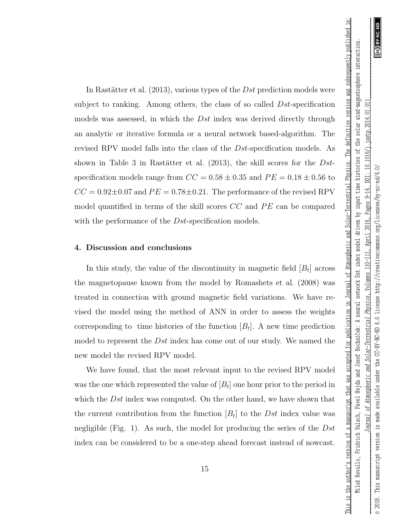This is the author's version of a manuscript that was accepted for publication in Journal of Atmospheric and Solar-Terrestrial Physics. The definitive version was subsequently published in:

In Rastätter et al.  $(2013)$ , various types of the Dst prediction models were subject to ranking. Among others, the class of so called Dst-specification models was assessed, in which the  $Dst$  index was derived directly through an analytic or iterative formula or a neural network based-algorithm. The revised RPV model falls into the class of the Dst-specification models. As shown in Table 3 in Rastätter et al.  $(2013)$ , the skill scores for the Dstspecification models range from  $CC = 0.58 \pm 0.35$  and  $PE = 0.18 \pm 0.56$  to  $CC = 0.92 \pm 0.07$  and  $PE = 0.78 \pm 0.21$ . The performance of the revised RPV model quantified in terms of the skill scores  $CC$  and  $PE$  can be compared with the performance of the *Dst*-specification models.

### 4. Discussion and conclusions

In this study, the value of the discontinuity in magnetic field  $[B_t]$  across the magnetopause known from the model by Romashets et al. (2008) was treated in connection with ground magnetic field variations. We have revised the model using the method of ANN in order to assess the weights corresponding to time histories of the function  $[B_t]$ . A new time prediction model to represent the  $Dst$  index has come out of our study. We named the new model the revised RPV model.

We have found, that the most relevant input to the revised RPV model was the one which represented the value of  $[B_t]$  one hour prior to the period in which the Dst index was computed. On the other hand, we have shown that the current contribution from the function  $[B_t]$  to the Dst index value was negligible (Fig. 1). As such, the model for producing the series of the  $Dst$ index can be considered to be a one-step ahead forecast instead of nowcast.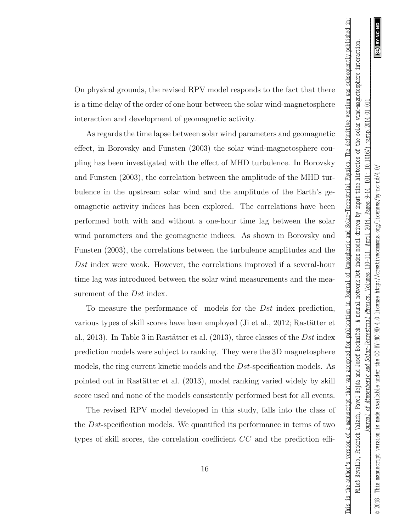This is the author's version of a manuscript that was accepted for publication in Journal of Atmospheric and Solar-Terrestrial Physics. The definitive version was subsequently published in:

On physical grounds, the revised RPV model responds to the fact that there is a time delay of the order of one hour between the solar wind-magnetosphere interaction and development of geomagnetic activity.

As regards the time lapse between solar wind parameters and geomagnetic effect, in Borovsky and Funsten (2003) the solar wind-magnetosphere coupling has been investigated with the effect of MHD turbulence. In Borovsky and Funsten (2003), the correlation between the amplitude of the MHD turbulence in the upstream solar wind and the amplitude of the Earth's geomagnetic activity indices has been explored. The correlations have been performed both with and without a one-hour time lag between the solar wind parameters and the geomagnetic indices. As shown in Borovsky and Funsten (2003), the correlations between the turbulence amplitudes and the Dst index were weak. However, the correlations improved if a several-hour time lag was introduced between the solar wind measurements and the measurement of the *Dst* index.

To measure the performance of models for the Dst index prediction, various types of skill scores have been employed (Ji et al., 2012; Rastätter et al., 2013). In Table 3 in Rastätter et al.  $(2013)$ , three classes of the Dst index prediction models were subject to ranking. They were the 3D magnetosphere models, the ring current kinetic models and the Dst-specification models. As pointed out in Rastätter et al. (2013), model ranking varied widely by skill score used and none of the models consistently performed best for all events.

The revised RPV model developed in this study, falls into the class of the Dst-specification models. We quantified its performance in terms of two types of skill scores, the correlation coefficient CC and the prediction effi-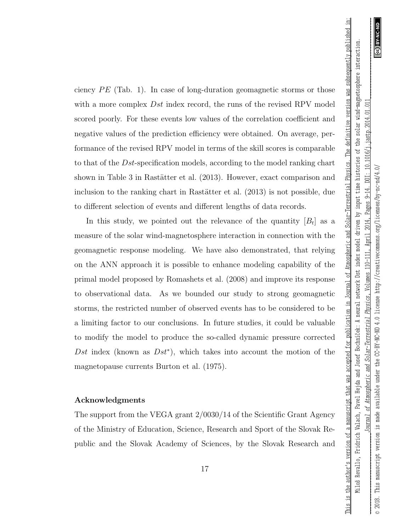© 2018. This manuscript version is made available under the CC-BY-NC-ND 4.0 license http://creativecommons.org/licenses/by-nc-nd/4.0/

under

available

made

 $\frac{3}{4}$ 

version

This manuscript

 $\circ$  2018.

the CC-BY-NC-ND 4.0 license http://creativecommons.org/licenses/by-nc-nd/4.

ල

 $\geq$ 

ciency  $PE$  (Tab. 1). In case of long-duration geomagnetic storms or those with a more complex  $Dst$  index record, the runs of the revised RPV model scored poorly. For these events low values of the correlation coefficient and negative values of the prediction efficiency were obtained. On average, performance of the revised RPV model in terms of the skill scores is comparable to that of the Dst-specification models, according to the model ranking chart shown in Table 3 in Rastätter et al. (2013). However, exact comparison and inclusion to the ranking chart in Rastätter et al.  $(2013)$  is not possible, due to different selection of events and different lengths of data records.

In this study, we pointed out the relevance of the quantity  $[B_t]$  as a measure of the solar wind-magnetosphere interaction in connection with the geomagnetic response modeling. We have also demonstrated, that relying on the ANN approach it is possible to enhance modeling capability of the primal model proposed by Romashets et al. (2008) and improve its response to observational data. As we bounded our study to strong geomagnetic storms, the restricted number of observed events has to be considered to be a limiting factor to our conclusions. In future studies, it could be valuable to modify the model to produce the so-called dynamic pressure corrected Dst index (known as  $Dst^*$ ), which takes into account the motion of the magnetopause currents Burton et al. (1975).

### Acknowledgments

The support from the VEGA grant 2/0030/14 of the Scientific Grant Agency of the Ministry of Education, Science, Research and Sport of the Slovak Republic and the Slovak Academy of Sciences, by the Slovak Research and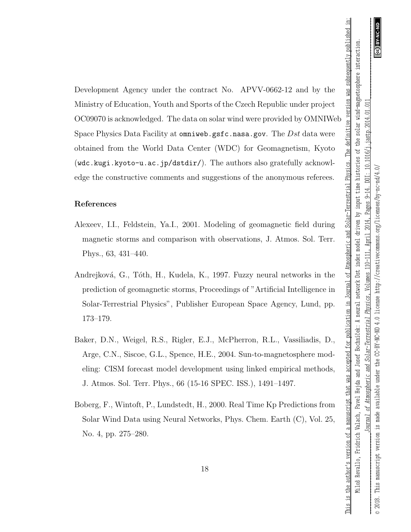Development Agency under the contract No. APVV-0662-12 and by the Ministry of Education, Youth and Sports of the Czech Republic under project OC09070 is acknowledged. The data on solar wind were provided by OMNIWeb Space Physics Data Facility at omniweb.gsfc.nasa.gov. The  $Dst$  data were obtained from the World Data Center (WDC) for Geomagnetism, Kyoto (wdc.kugi.kyoto-u.ac.jp/dstdir/). The authors also gratefully acknowledge the constructive comments and suggestions of the anonymous referees.

# References

- Alexeev, I.I., Feldstein, Ya.I., 2001. Modeling of geomagnetic field during magnetic storms and comparison with observations, J. Atmos. Sol. Terr. Phys., 63, 431–440.
- Andrejková, G., Tóth, H., Kudela, K., 1997. Fuzzy neural networks in the prediction of geomagnetic storms, Proceedings of "Artificial Intelligence in Solar-Terrestrial Physics", Publisher European Space Agency, Lund, pp. 173–179.
- Baker, D.N., Weigel, R.S., Rigler, E.J., McPherron, R.L., Vassiliadis, D., Arge, C.N., Siscoe, G.L., Spence, H.E., 2004. Sun-to-magnetosphere modeling: CISM forecast model development using linked empirical methods, J. Atmos. Sol. Terr. Phys., 66 (15-16 SPEC. ISS.), 1491–1497.
- Boberg, F., Wintoft, P., Lundstedt, H., 2000. Real Time Kp Predictions from Solar Wind Data using Neural Networks, Phys. Chem. Earth (C), Vol. 25, No. 4, pp. 275–280.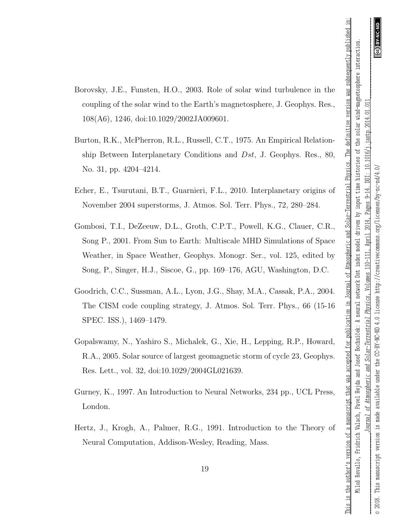- Borovsky, J.E., Funsten, H.O., 2003. Role of solar wind turbulence in the coupling of the solar wind to the Earth's magnetosphere, J. Geophys. Res., 108(A6), 1246, doi:10.1029/2002JA009601.
- Burton, R.K., McPherron, R.L., Russell, C.T., 1975. An Empirical Relationship Between Interplanetary Conditions and Dst, J. Geophys. Res., 80, No. 31, pp. 4204–4214.
- Echer, E., Tsurutani, B.T., Guarnieri, F.L., 2010. Interplanetary origins of November 2004 superstorms, J. Atmos. Sol. Terr. Phys., 72, 280–284.
- Gombosi, T.I., DeZeeuw, D.L., Groth, C.P.T., Powell, K.G., Clauer, C.R., Song P., 2001. From Sun to Earth: Multiscale MHD Simulations of Space Weather, in Space Weather, Geophys. Monogr. Ser., vol. 125, edited by Song, P., Singer, H.J., Siscoe, G., pp. 169–176, AGU, Washington, D.C.
- Goodrich, C.C., Sussman, A.L., Lyon, J.G., Shay, M.A., Cassak, P.A., 2004. The CISM code coupling strategy, J. Atmos. Sol. Terr. Phys., 66 (15-16 SPEC. ISS.), 1469–1479.
- Gopalswamy, N., Yashiro S., Michalek, G., Xie, H., Lepping, R.P., Howard, R.A., 2005. Solar source of largest geomagnetic storm of cycle 23, Geophys. Res. Lett., vol. 32, doi:10.1029/2004GL021639.
- Gurney, K., 1997. An Introduction to Neural Networks, 234 pp., UCL Press, London.
- Hertz, J., Krogh, A., Palmer, R.G., 1991. Introduction to the Theory of Neural Computation, Addison-Wesley, Reading, Mass.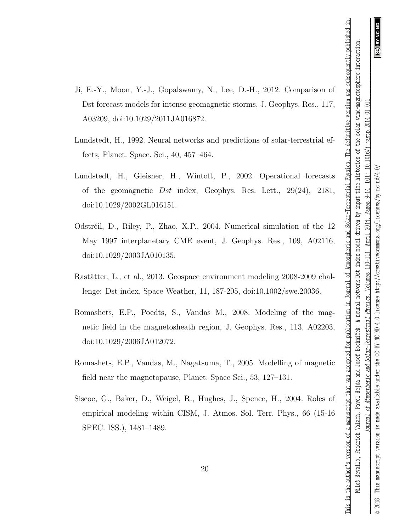- Ji, E.-Y., Moon, Y.-J., Gopalswamy, N., Lee, D.-H., 2012. Comparison of Dst forecast models for intense geomagnetic storms, J. Geophys. Res., 117, A03209, doi:10.1029/2011JA016872.
- Lundstedt, H., 1992. Neural networks and predictions of solar-terrestrial effects, Planet. Space. Sci., 40, 457–464.
- Lundstedt, H., Gleisner, H., Wintoft, P., 2002. Operational forecasts of the geomagnetic  $Dst$  index, Geophys. Res. Lett.,  $29(24)$ ,  $2181$ , doi:10.1029/2002GL016151.
- Odstrčil, D., Riley, P., Zhao, X.P., 2004. Numerical simulation of the 12 May 1997 interplanetary CME event, J. Geophys. Res., 109, A02116, doi:10.1029/2003JA010135.
- Rastätter, L., et al., 2013. Geospace environment modeling 2008-2009 challenge: Dst index, Space Weather, 11, 187-205, doi:10.1002/swe.20036.
- Romashets, E.P., Poedts, S., Vandas M., 2008. Modeling of the magnetic field in the magnetosheath region, J. Geophys. Res., 113, A02203, doi:10.1029/2006JA012072.
- Romashets, E.P., Vandas, M., Nagatsuma, T., 2005. Modelling of magnetic field near the magnetopause, Planet. Space Sci., 53, 127–131.
- Siscoe, G., Baker, D., Weigel, R., Hughes, J., Spence, H., 2004. Roles of empirical modeling within CISM, J. Atmos. Sol. Terr. Phys., 66 (15-16 SPEC. ISS.), 1481–1489.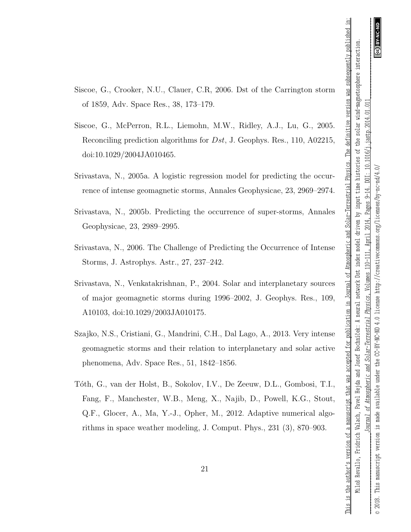- Siscoe, G., Crooker, N.U., Clauer, C.R, 2006. Dst of the Carrington storm of 1859, Adv. Space Res., 38, 173–179.
- Siscoe, G., McPerron, R.L., Liemohn, M.W., Ridley, A.J., Lu, G., 2005. Reconciling prediction algorithms for Dst, J. Geophys. Res., 110, A02215, doi:10.1029/2004JA010465.
- Srivastava, N., 2005a. A logistic regression model for predicting the occurrence of intense geomagnetic storms, Annales Geophysicae, 23, 2969–2974.
- Srivastava, N., 2005b. Predicting the occurrence of super-storms, Annales Geophysicae, 23, 2989–2995.
- Srivastava, N., 2006. The Challenge of Predicting the Occurrence of Intense Storms, J. Astrophys. Astr., 27, 237–242.
- Srivastava, N., Venkatakrishnan, P., 2004. Solar and interplanetary sources of major geomagnetic storms during 1996–2002, J. Geophys. Res., 109, A10103, doi:10.1029/2003JA010175.
- Szajko, N.S., Cristiani, G., Mandrini, C.H., Dal Lago, A., 2013. Very intense geomagnetic storms and their relation to interplanetary and solar active phenomena, Adv. Space Res., 51, 1842–1856.
- T´oth, G., van der Holst, B., Sokolov, I.V., De Zeeuw, D.L., Gombosi, T.I., Fang, F., Manchester, W.B., Meng, X., Najib, D., Powell, K.G., Stout, Q.F., Glocer, A., Ma, Y.-J., Opher, M., 2012. Adaptive numerical algorithms in space weather modeling, J. Comput. Phys., 231 (3), 870–903.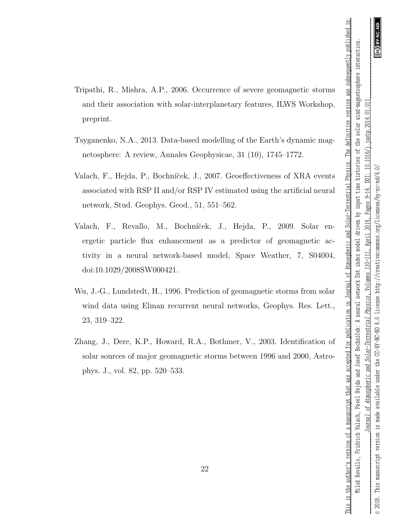- Tripathi, R., Mishra, A.P., 2006. Occurrence of severe geomagnetic storms and their association with solar-interplanetary features, ILWS Workshop, preprint.
- Tsyganenko, N.A., 2013. Data-based modelling of the Earth's dynamic magnetosphere: A review, Annales Geophysicae, 31 (10), 1745–1772.
- Valach, F., Hejda, P., Bochníček, J., 2007. Geoeffectiveness of XRA events associated with RSP II and/or RSP IV estimated using the artificial neural network, Stud. Geophys. Geod., 51, 551–562.
- Valach, F., Revallo, M., Bochníček, J., Hejda, P., 2009. Solar energetic particle flux enhancement as a predictor of geomagnetic activity in a neural network-based model, Space Weather, 7, S04004, doi:10.1029/2008SW000421.
- Wu, J.-G., Lundstedt, H., 1996. Prediction of geomagnetic storms from solar wind data using Elman recurrent neural networks, Geophys. Res. Lett., 23, 319–322.
- Zhang, J., Dere, K.P., Howard, R.A., Bothmer, V., 2003. Identification of solar sources of major geomagnetic storms between 1996 and 2000, Astrophys. J., vol. 82, pp. 520–533.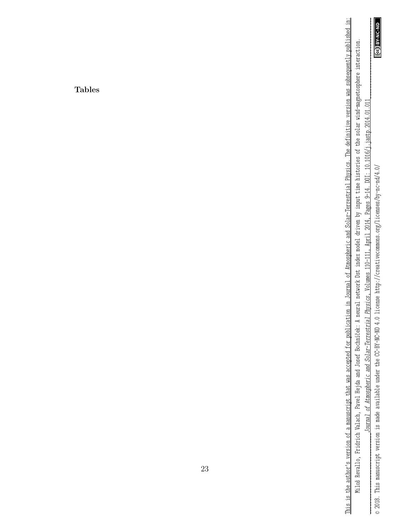**CO** BY-NC-ND

*\_\_\_\_\_\_\_\_\_\_\_\_\_\_\_\_\_\_\_\_\_\_\_\_\_\_\_\_\_\_\_Journal of Atmospheric and Solar-Terrestrial Physics* , Volumes 110-111, April 2014, Pages 9-14. DOI: 10.1016/j.jastp.2014.01.011\_\_\_\_\_\_\_\_\_\_\_\_\_\_\_\_\_\_\_\_\_\_\_\_\_\_\_\_\_\_\_ Journal of Atmospheric and Solar-Terrestrial Physics, Volumes 110-111, April 2014, Pages 9-14. DOI: 10.1016/j.jastp.2014.01.011 © 2018. This manuscript version is made available under the CC-BY-NC-ND 4.0 license http://creativecommons.org/licenses/by-nc-nd/4.0/ © 2018. This manuscript version is made available under the CC-BY-NC-ND 4.0 license http://creativecommons.org/licenses/by-nc-nd/4.0/

Miloš Revallo, Fridrich Valach, Pavel Hejda and Josef Bochníček: A neural network Dst index model driven by input time histories of the solar wind-magnetosphere interaction. Miloš Revallo, Fridrich Valach, Pavel Hejda and Josef Bochníček: A neural network Dst index model driven by input time histories of the solar wind-magnetosphere interaction.

This is the author's version of a manuscript that was accepted for publication in Journal of Atmospheric and Solar-Terrestrial Physics. The definitive version was subsequently published in: This is the author's version of a manuscript that was accepted for publication in Journal of Atmospheric and Solar-Terrestrial Physics. The definitive version was subsequently published in:

Tables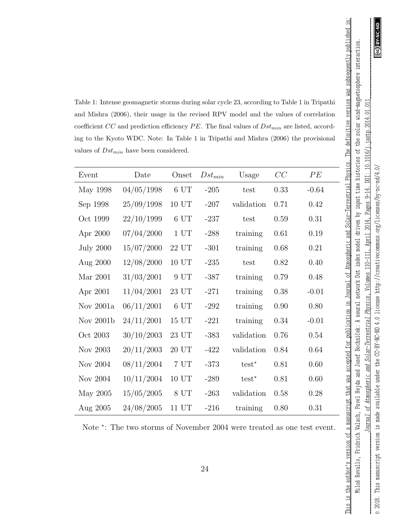Table 1: Intense geomagnetic storms during solar cycle 23, according to Table 1 in Tripathi and Mishra (2006), their usage in the revised RPV model and the values of correlation coefficient CC and prediction efficiency  $PE$ . The final values of  $Dst_{min}$  are listed, according to the Kyoto WDC. Note: In Table 1 in Tripathi and Mishra (2006) the provisional values of  $Dst_{min}$  have been considered.

| Event            | Date       | Onset            | $Dst_{min}$ | Usage      | CC   | PE      |
|------------------|------------|------------------|-------------|------------|------|---------|
| May 1998         | 04/05/1998 | 6 UT             | $-205$      | test       | 0.33 | $-0.64$ |
| Sep 1998         | 25/09/1998 | 10 UT            | $-207$      | validation | 0.71 | 0.42    |
| Oct 1999         | 22/10/1999 | 6 UT             | $-237$      | test       | 0.59 | 0.31    |
| Apr 2000         | 07/04/2000 | 1 <sub>UT</sub>  | $-288$      | training   | 0.61 | 0.19    |
| <b>July 2000</b> | 15/07/2000 | $22~\mathrm{UT}$ | $-301$      | training   | 0.68 | 0.21    |
| Aug 2000         | 12/08/2000 | 10 UT            | $-235$      | test       | 0.82 | 0.40    |
| Mar 2001         | 31/03/2001 | 9 UT             | $-387$      | training   | 0.79 | 0.48    |
| Apr 2001         | 11/04/2001 | 23 UT            | $-271$      | training   | 0.38 | $-0.01$ |
| Nov 2001a        | 06/11/2001 | 6 UT             | $-292$      | training   | 0.90 | 0.80    |
| Nov 2001b        | 24/11/2001 | 15 UT            | $-221$      | training   | 0.34 | $-0.01$ |
| Oct 2003         | 30/10/2003 | 23 UT            | $-383$      | validation | 0.76 | 0.54    |
| Nov 2003         | 20/11/2003 | 20 UT            | $-422$      | validation | 0.84 | 0.64    |
| Nov 2004         | 08/11/2004 | 7 UT             | $-373$      | $test^*$   | 0.81 | 0.60    |
| Nov 2004         | 10/11/2004 | 10 UT            | $-289$      | $test^*$   | 0.81 | 0.60    |
| May 2005         | 15/05/2005 | 8 UT             | $-263$      | validation | 0.58 | 0.28    |
| Aug 2005         | 24/08/2005 | 11 UT            | $-216$      | training   | 0.80 | 0.31    |

Note <sup>∗</sup> : The two storms of November 2004 were treated as one test event.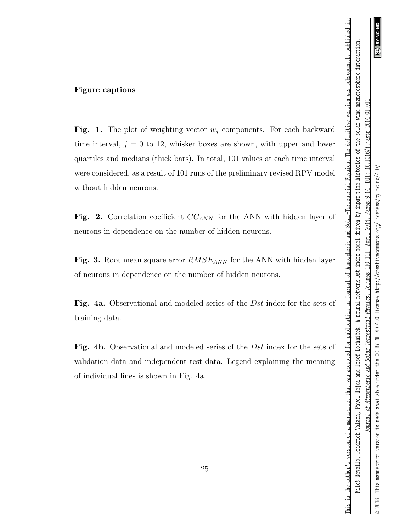This is the author's version of a manuscript that was accepted for publication in Journal of Atmospheric and Solar-Terrestrial Physics. The definitive version was subsequently published in:

### Figure captions

Fig. 1. The plot of weighting vector  $w_j$  components. For each backward time interval,  $j = 0$  to 12, whisker boxes are shown, with upper and lower quartiles and medians (thick bars). In total, 101 values at each time interval were considered, as a result of 101 runs of the preliminary revised RPV model without hidden neurons.

Fig. 2. Correlation coefficient  $CC_{ANN}$  for the ANN with hidden layer of neurons in dependence on the number of hidden neurons.

Fig. 3. Root mean square error  $RMSE_{ANN}$  for the ANN with hidden layer of neurons in dependence on the number of hidden neurons.

Fig. 4a. Observational and modeled series of the Dst index for the sets of training data.

Fig. 4b. Observational and modeled series of the *Dst* index for the sets of validation data and independent test data. Legend explaining the meaning of individual lines is shown in Fig. 4a.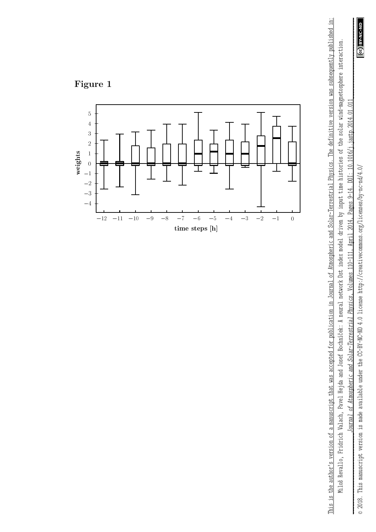

*\_\_\_\_\_\_\_\_\_\_\_\_\_\_\_\_\_\_\_\_\_\_\_\_\_\_\_\_\_\_\_Journal of Atmospheric and Solar-Terrestrial Physics* , Volumes 110-111, April 2014, Pages 9-14. DOI: 10.1016/j.jastp.2014.01.011\_\_\_\_\_\_\_\_\_\_\_\_\_\_\_\_\_\_\_\_\_\_\_\_\_\_\_\_\_\_\_ jastp.2014.01.011 DOI: 10.1016/j. Pages 9-14. April 2014, Journal of Atmospheric and Solar-Terrestrial Physics, Volumes 110-111,

Miloš Revallo, Fridrich Valach, Pavel Hejda and Josef Bochníček: A neural network Dst index model driven by input time histories of the solar wind-magnetosphere interaction. Miloš Revallo, Fridrich Valach, Pavel Hejda and Josef Bochníček: A neural network Dst index model driven by input time histories of the solar wind-magnetosphere interaction.

This is the author's version of a manuscript that was accepted for publication in Journal of Atmospheric and Solar-Terrestrial Physics. The definitive version was subsequently published in: This is the author's version of a manuscript that was accepted for publication in Journal C.Atmospheric and Solar-Terrestrial Physics. The definitive version was subsequently published in:



**Figure 1**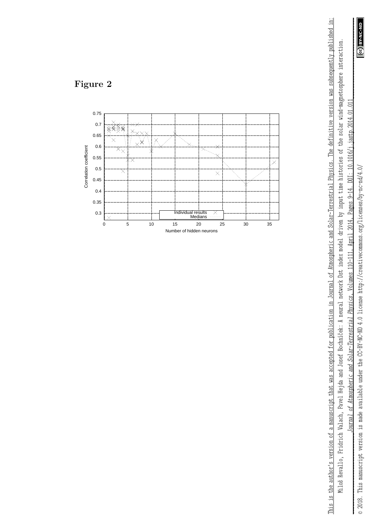

*\_\_\_\_\_\_\_\_\_\_\_\_\_\_\_\_\_\_\_\_\_\_\_\_\_\_\_\_\_\_\_Journal of Atmospheric and Solar-Terrestrial Physics* , Volumes 110-111, April 2014, Pages 9-14. DOI: 10.1016/j.jastp.2014.01.011\_\_\_\_\_\_\_\_\_\_\_\_\_\_\_\_\_\_\_\_\_\_\_\_\_\_\_\_\_\_\_ Pages 9-14. DOI: 10.1016/j.jastp.2014.01.011 April 2014, Journal of Atmospheric and Solar-Terrestrial Physics, Volumes 110-111,

Miloš Revallo, Fridrich Valach, Pavel Hejda and Josef Bochníček: A neural network Dst index model driven by input time histories of the solar wind-magnetosphere interaction. Miloš Revallo, Fridrich Valach, Pavel Hejda and Josef Bochníček: A neural network Dst index model driven by input time histories of the solar wind-magnetosphere interaction.

This is the author's version of a manuscript that was accepted for publication in Journal of Atmospheric and Solar-Terrestrial Physics. The definitive version was subsequently published in: This is the author's version of a manuscript that was accepted for publication in Journal C.Atmospheric and Solar-Terrestrial Physics. The definitive version was subsequently published in:



**Figure 2**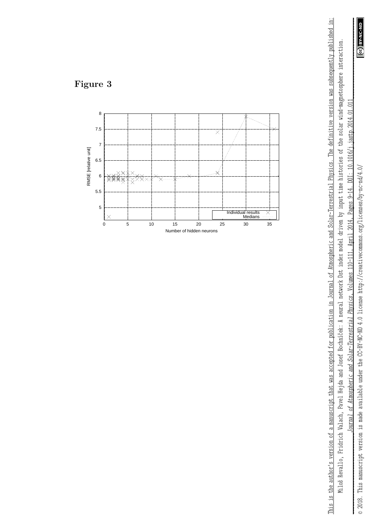

*\_\_\_\_\_\_\_\_\_\_\_\_\_\_\_\_\_\_\_\_\_\_\_\_\_\_\_\_\_\_\_Journal of Atmospheric and Solar-Terrestrial Physics* , Volumes 110-111, April 2014, Pages 9-14. DOI: 10.1016/j.jastp.2014.01.011\_\_\_\_\_\_\_\_\_\_\_\_\_\_\_\_\_\_\_\_\_\_\_\_\_\_\_\_\_\_\_ Pages 9-14. DOI: 10.1016/j.jastp.2014.01.011 April 2014, Journal of Atmospheric and Solar-Terrestrial Physics, Volumes 110-111,

Miloš Revallo, Fridrich Valach, Pavel Hejda and Josef Bochníček: A neural network Dst index model driven by input time histories of the solar wind-magnetosphere interaction. Miloš Revallo, Fridrich Valach, Pavel Hejda and Josef Bochníček: A neural network Dst index model driven by input time histories of the solar wind-magnetosphere interaction.

This is the author's version of a manuscript that was accepted for publication in Journal of Atmospheric and Solar-Terrestrial Physics. The definitive version was subsequently published in: This is the author's version of a manuscript that was accepted for publication in Journal C.Atmospheric and Solar-Terrestrial Physics. The definitive version was subsequently published in:



**Figure 3**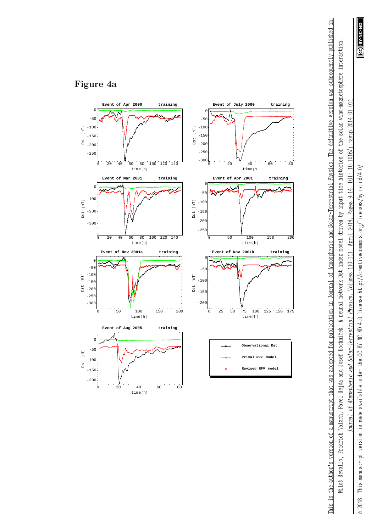

 $.011$ 

jastp. 2014.01.

DOI: 10.1016/j

Pages 9-14.

2014.

April

Journal of Atmospheric and Solar-Terrestrial Physics, Volumes 110-111,

This is the author's version of a manuscript that was accepted for publication in Journal C.Atmospheric and Solar-Terrestrial Physics. The definitive version was subsequently published in: Miloš Revallo, Fridrich Valach, Pavel Hejda and Josef Bochníček: A neural network Dst index model driven by input time histories of the solar wind-magnetosphere interaction.

This is the author's version of a manuscript that was accepted for publication in Journal of Atmospheric and Solar-Terrestrial Physics. The definitive version was subsequently published in: Miloš Revallo, Fridrich Valach, Pavel Hejda and Josef Bochníček: A neural network Dst index model driven by input time histories of the solar wind-magnetosphere interaction.

# **Figure 4a**





**Revised RPV m**